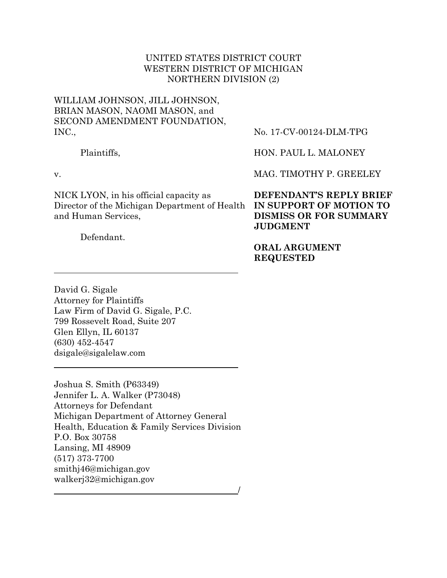## UNITED STATES DISTRICT COURT WESTERN DISTRICT OF MICHIGAN NORTHERN DIVISION (2)

# WILLIAM JOHNSON, JILL JOHNSON, BRIAN MASON, NAOMI MASON, and SECOND AMENDMENT FOUNDATION, INC.,

Plaintiffs,

v.

NICK LYON, in his official capacity as Director of the Michigan Department of Health **IN SUPPORT OF MOTION TO** and Human Services,

Defendant.

No. 17-CV-00124-DLM-TPG

HON. PAUL L. MALONEY

MAG. TIMOTHY P. GREELEY

**DEFENDANT'S REPLY BRIEF DISMISS OR FOR SUMMARY JUDGMENT**

**ORAL ARGUMENT REQUESTED**

David G. Sigale Attorney for Plaintiffs Law Firm of David G. Sigale, P.C. 799 Rossevelt Road, Suite 207 Glen Ellyn, IL 60137 (630) 452-4547 dsigale@sigalelaw.com

Joshua S. Smith (P63349) Jennifer L. A. Walker (P73048) Attorneys for Defendant Michigan Department of Attorney General Health, Education & Family Services Division P.O. Box 30758 Lansing, MI 48909 (517) 373-7700 smithj46@michigan.gov walkerj32@michigan.gov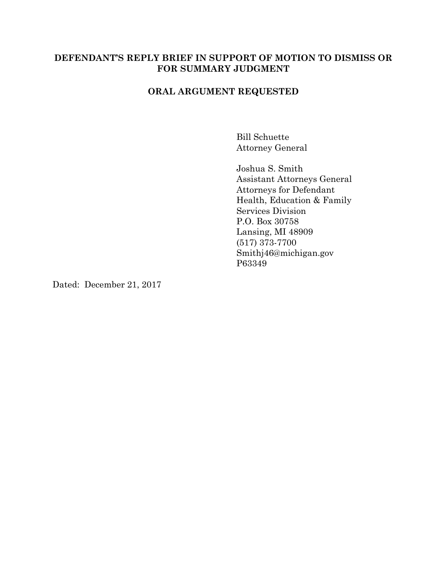### **DEFENDANT'S REPLY BRIEF IN SUPPORT OF MOTION TO DISMISS OR FOR SUMMARY JUDGMENT**

### **ORAL ARGUMENT REQUESTED**

Bill Schuette Attorney General

Joshua S. Smith Assistant Attorneys General Attorneys for Defendant Health, Education & Family Services Division P.O. Box 30758 Lansing, MI 48909 (517) 373-7700 Smithj46@michigan.gov P63349

Dated: December 21, 2017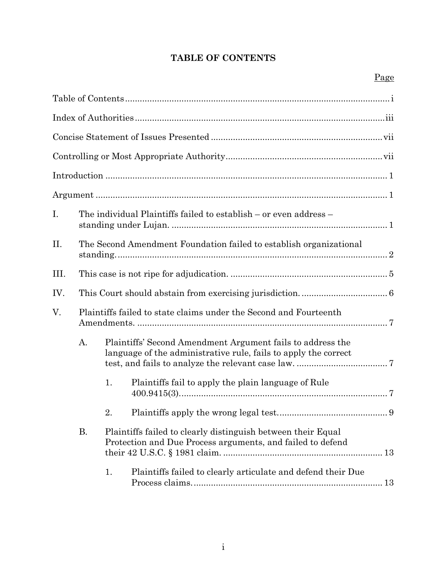# **TABLE OF CONTENTS**

| I.   |                                                                   | The individual Plaintiffs failed to establish – or even address –                                                          |                                                                                                                               |  |  |  |
|------|-------------------------------------------------------------------|----------------------------------------------------------------------------------------------------------------------------|-------------------------------------------------------------------------------------------------------------------------------|--|--|--|
| П.   |                                                                   | The Second Amendment Foundation failed to establish organizational                                                         |                                                                                                                               |  |  |  |
| III. |                                                                   |                                                                                                                            |                                                                                                                               |  |  |  |
| IV.  |                                                                   |                                                                                                                            |                                                                                                                               |  |  |  |
| V.   | Plaintiffs failed to state claims under the Second and Fourteenth |                                                                                                                            |                                                                                                                               |  |  |  |
| А.   |                                                                   |                                                                                                                            | Plaintiffs' Second Amendment Argument fails to address the<br>language of the administrative rule, fails to apply the correct |  |  |  |
|      |                                                                   | 1.                                                                                                                         | Plaintiffs fail to apply the plain language of Rule                                                                           |  |  |  |
|      |                                                                   | 2.                                                                                                                         |                                                                                                                               |  |  |  |
|      | <b>B.</b>                                                         | Plaintiffs failed to clearly distinguish between their Equal<br>Protection and Due Process arguments, and failed to defend |                                                                                                                               |  |  |  |
|      |                                                                   | 1.                                                                                                                         | Plaintiffs failed to clearly articulate and defend their Due                                                                  |  |  |  |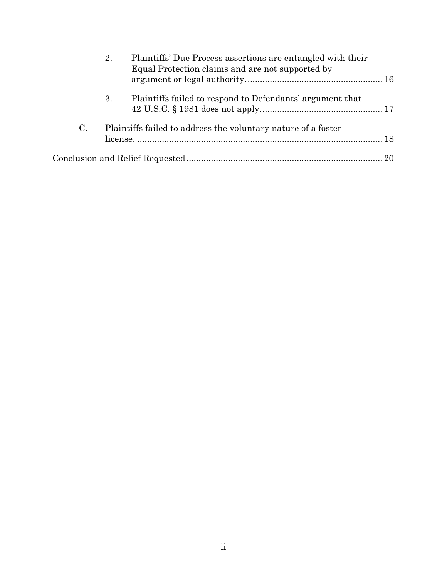|             | 2. | Plaintiffs' Due Process assertions are entangled with their<br>Equal Protection claims and are not supported by |  |
|-------------|----|-----------------------------------------------------------------------------------------------------------------|--|
|             | 3. | Plaintiffs failed to respond to Defendants' argument that                                                       |  |
| $C_{\cdot}$ |    | Plaintiffs failed to address the voluntary nature of a foster                                                   |  |
|             |    |                                                                                                                 |  |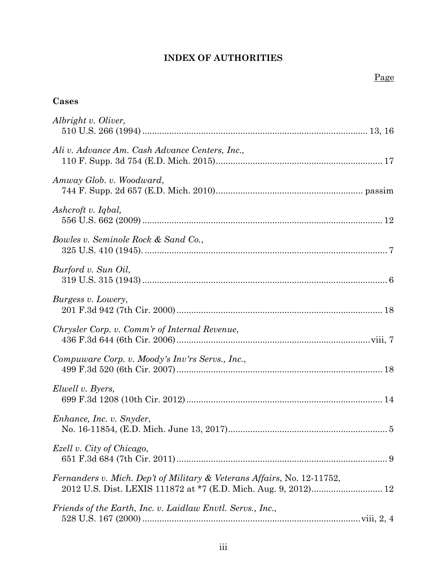# **INDEX OF AUTHORITIES**

# **Cases**

| Albright v. Oliver,                                                     |  |
|-------------------------------------------------------------------------|--|
| Ali v. Advance Am. Cash Advance Centers, Inc.,                          |  |
| Amway Glob. v. Woodward,                                                |  |
| Ashcroft v. Iqbal,                                                      |  |
| Bowles v. Seminole Rock & Sand Co.,                                     |  |
| Burford v. Sun Oil,                                                     |  |
| Burgess v. Lowery,                                                      |  |
| Chrysler Corp. v. Comm'r of Internal Revenue,                           |  |
| Compuware Corp. v. Moody's Inv'rs Servs., Inc.,                         |  |
| Elwell v. Byers,                                                        |  |
| Enhance, Inc. v. Snyder,                                                |  |
| Ezell v. City of Chicago,                                               |  |
| Fernanders v. Mich. Dep't of Military & Veterans Affairs, No. 12-11752, |  |
| Friends of the Earth, Inc. v. Laidlaw Envtl. Servs., Inc.,              |  |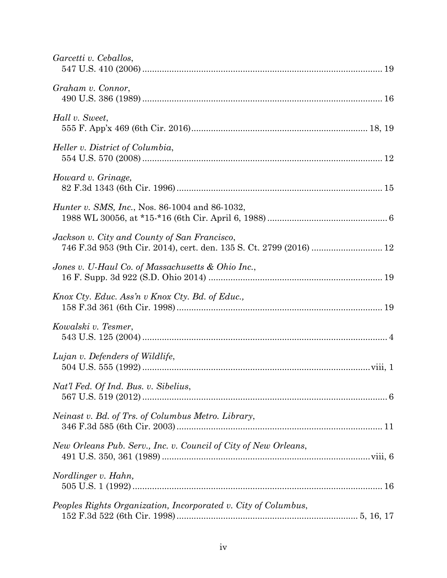| Garcetti v. Ceballos,                                                                                               |  |
|---------------------------------------------------------------------------------------------------------------------|--|
| Graham v. Connor,                                                                                                   |  |
| Hall v. Sweet,                                                                                                      |  |
| Heller v. District of Columbia,                                                                                     |  |
| Howard v. Grinage,                                                                                                  |  |
| <i>Hunter v. SMS, Inc., Nos. 86-1004 and 86-1032,</i>                                                               |  |
| Jackson v. City and County of San Francisco,<br>746 F.3d 953 (9th Cir. 2014), cert. den. 135 S. Ct. 2799 (2016)  12 |  |
| Jones v. U-Haul Co. of Massachusetts & Ohio Inc.,                                                                   |  |
| Knox Cty. Educ. Ass'n v Knox Cty. Bd. of Educ.,                                                                     |  |
| Kowalski v. Tesmer,                                                                                                 |  |
| Lujan v. Defenders of Wildlife,                                                                                     |  |
| Nat'l Fed. Of Ind. Bus. v. Sibelius,                                                                                |  |
| Neinast v. Bd. of Trs. of Columbus Metro. Library,                                                                  |  |
| New Orleans Pub. Serv., Inc. v. Council of City of New Orleans,                                                     |  |
| Nordlinger v. Hahn,                                                                                                 |  |
| Peoples Rights Organization, Incorporated v. City of Columbus,                                                      |  |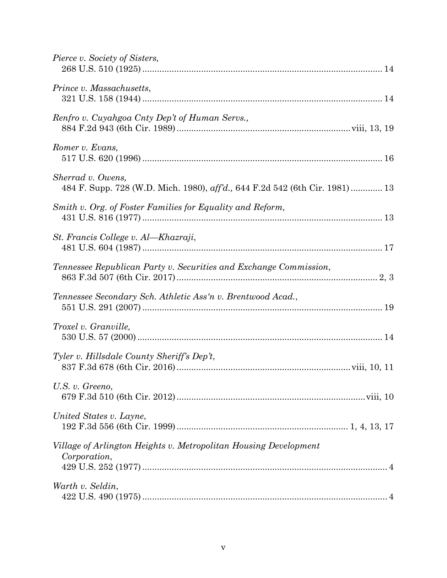| Pierce v. Society of Sisters,                                                                     |
|---------------------------------------------------------------------------------------------------|
| Prince v. Massachusetts,                                                                          |
| Renfro v. Cuyahgoa Cnty Dep't of Human Servs.,                                                    |
| Romer v. Evans,                                                                                   |
| Sherrad v. Owens,<br>484 F. Supp. 728 (W.D. Mich. 1980), aff'd., 644 F.2d 542 (6th Cir. 1981)  13 |
| Smith v. Org. of Foster Families for Equality and Reform,                                         |
| St. Francis College v. Al-Khazraji,                                                               |
| Tennessee Republican Party v. Securities and Exchange Commission,                                 |
| Tennessee Secondary Sch. Athletic Ass'n v. Brentwood Acad.,                                       |
| Troxel v. Granville,                                                                              |
| Tyler v. Hillsdale County Sheriff's Dep't,                                                        |
| U.S. v. Greeno,                                                                                   |
| United States v. Layne,                                                                           |
| Village of Arlington Heights v. Metropolitan Housing Development<br>Corporation,                  |
| Warth v. Seldin,                                                                                  |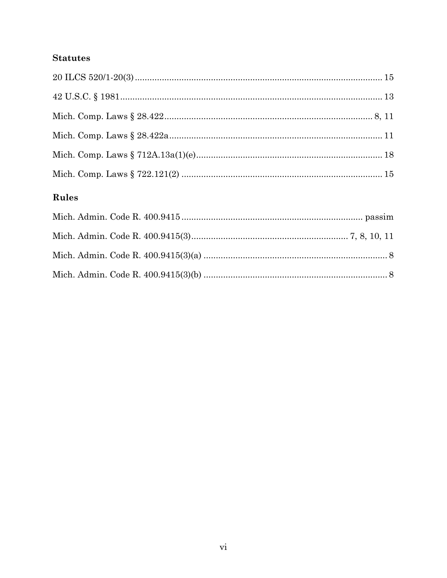# **Statutes**

# Rules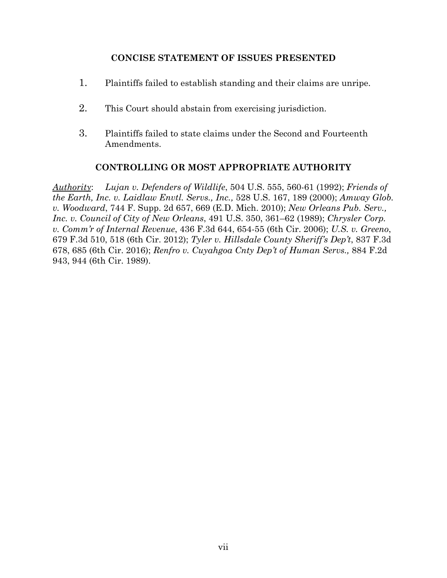# **CONCISE STATEMENT OF ISSUES PRESENTED**

- 1. Plaintiffs failed to establish standing and their claims are unripe.
- 2. This Court should abstain from exercising jurisdiction.
- 3. Plaintiffs failed to state claims under the Second and Fourteenth Amendments.

# **CONTROLLING OR MOST APPROPRIATE AUTHORITY**

*Authority*: *Lujan v. Defenders of Wildlife*, 504 U.S. 555, 560-61 (1992); *Friends of the Earth, Inc. v. Laidlaw Envtl. Servs., Inc.,* 528 U.S. 167, 189 (2000); *Amway Glob. v. Woodward*, 744 F. Supp. 2d 657, 669 (E.D. Mich. 2010); *New Orleans Pub. Serv., Inc. v. Council of City of New Orleans*, 491 U.S. 350, 361–62 (1989); *Chrysler Corp. v. Comm'r of Internal Revenue*, 436 F.3d 644, 654-55 (6th Cir. 2006); *U.S. v. Greeno*, 679 F.3d 510, 518 (6th Cir. 2012); *Tyler v. Hillsdale County Sheriff's Dep't*, 837 F.3d 678, 685 (6th Cir. 2016); *Renfro v. Cuyahgoa Cnty Dep't of Human Servs.,* 884 F.2d 943, 944 (6th Cir. 1989).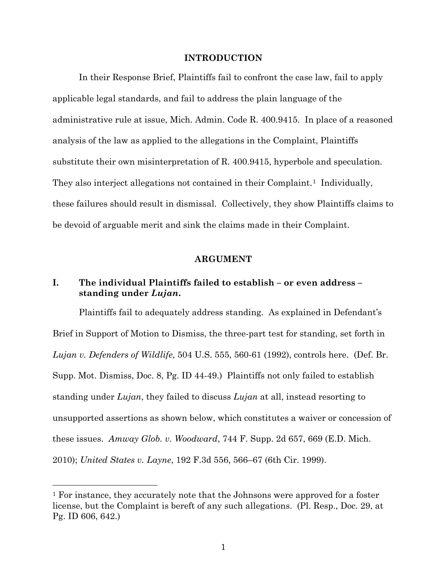#### **INTRODUCTION**

In their Response Brief, Plaintiffs fail to confront the case law, fail to apply applicable legal standards, and fail to address the plain language of the administrative rule at issue, Mich. Admin. Code R. 400.9415. In place of a reasoned analysis of the law as applied to the allegations in the Complaint, Plaintiffs substitute their own misinterpretation of R. 400.9415, hyperbole and speculation. They also interject allegations not contained in their Complaint.<sup>1</sup> Individually, these failures should result in dismissal. Collectively, they show Plaintiffs claims to be devoid of arguable merit and sink the claims made in their Complaint.

#### **ARGUMENT**

## **I. The individual Plaintiffs failed to establish – or even address – standing under** *Lujan***.**

Plaintiffs fail to adequately address standing. As explained in Defendant's Brief in Support of Motion to Dismiss, the three-part test for standing, set forth in *Lujan v. Defenders of Wildlife*, 504 U.S. 555, 560-61 (1992), controls here. (Def. Br. Supp. Mot. Dismiss, Doc. 8, Pg. ID 44-49.) Plaintiffs not only failed to establish standing under *Lujan*, they failed to discuss *Lujan* at all, instead resorting to unsupported assertions as shown below, which constitutes a waiver or concession of these issues. *Amway Glob. v. Woodward*, 744 F. Supp. 2d 657, 669 (E.D. Mich. 2010); *United States v. Layne*, 192 F.3d 556, 566–67 (6th Cir. 1999).

 $\overline{a}$ 

<sup>1</sup> For instance, they accurately note that the Johnsons were approved for a foster license, but the Complaint is bereft of any such allegations. (Pl. Resp., Doc. 29, at Pg. ID 606, 642.)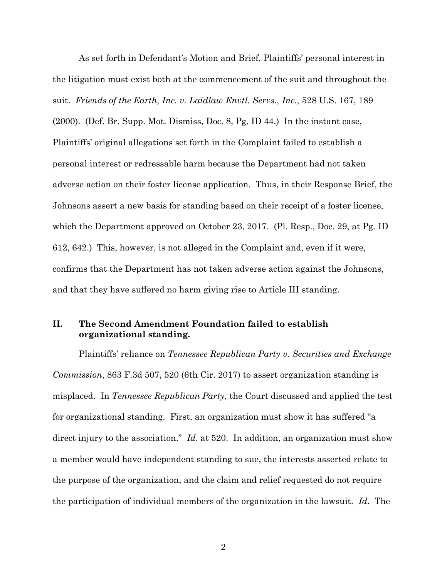As set forth in Defendant's Motion and Brief, Plaintiffs' personal interest in the litigation must exist both at the commencement of the suit and throughout the suit. *Friends of the Earth, Inc. v. Laidlaw Envtl. Servs., Inc.,* 528 U.S. 167, 189 (2000). (Def. Br. Supp. Mot. Dismiss, Doc. 8, Pg. ID 44.) In the instant case, Plaintiffs' original allegations set forth in the Complaint failed to establish a personal interest or redressable harm because the Department had not taken adverse action on their foster license application. Thus, in their Response Brief, the Johnsons assert a new basis for standing based on their receipt of a foster license, which the Department approved on October 23, 2017. (Pl. Resp., Doc. 29, at Pg. ID 612, 642.) This, however, is not alleged in the Complaint and, even if it were, confirms that the Department has not taken adverse action against the Johnsons, and that they have suffered no harm giving rise to Article III standing.

# **II. The Second Amendment Foundation failed to establish organizational standing.**

Plaintiffs' reliance on *Tennessee Republican Party v. Securities and Exchange Commission*, 863 F.3d 507, 520 (6th Cir. 2017) to assert organization standing is misplaced. In *Tennessee Republican Party*, the Court discussed and applied the test for organizational standing. First, an organization must show it has suffered "a direct injury to the association." *Id*. at 520. In addition, an organization must show a member would have independent standing to sue, the interests asserted relate to the purpose of the organization, and the claim and relief requested do not require the participation of individual members of the organization in the lawsuit. *Id*. The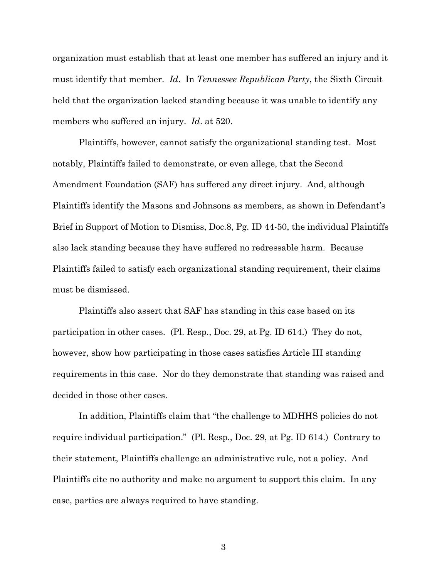organization must establish that at least one member has suffered an injury and it must identify that member. *Id*. In *Tennessee Republican Party*, the Sixth Circuit held that the organization lacked standing because it was unable to identify any members who suffered an injury. *Id*. at 520.

Plaintiffs, however, cannot satisfy the organizational standing test. Most notably, Plaintiffs failed to demonstrate, or even allege, that the Second Amendment Foundation (SAF) has suffered any direct injury. And, although Plaintiffs identify the Masons and Johnsons as members, as shown in Defendant's Brief in Support of Motion to Dismiss, Doc.8, Pg. ID 44-50, the individual Plaintiffs also lack standing because they have suffered no redressable harm. Because Plaintiffs failed to satisfy each organizational standing requirement, their claims must be dismissed.

Plaintiffs also assert that SAF has standing in this case based on its participation in other cases. (Pl. Resp., Doc. 29, at Pg. ID 614.) They do not, however, show how participating in those cases satisfies Article III standing requirements in this case. Nor do they demonstrate that standing was raised and decided in those other cases.

In addition, Plaintiffs claim that "the challenge to MDHHS policies do not require individual participation." (Pl. Resp., Doc. 29, at Pg. ID 614.) Contrary to their statement, Plaintiffs challenge an administrative rule, not a policy. And Plaintiffs cite no authority and make no argument to support this claim. In any case, parties are always required to have standing.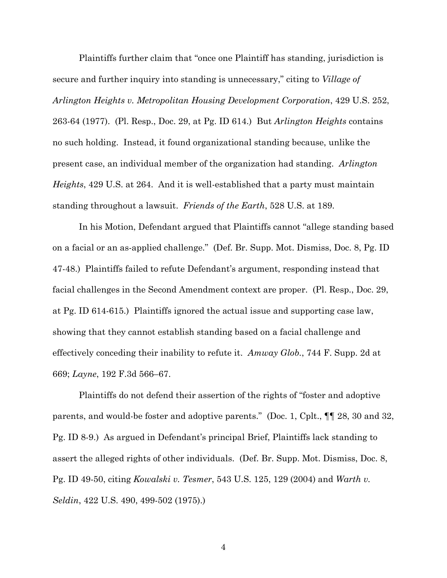Plaintiffs further claim that "once one Plaintiff has standing, jurisdiction is secure and further inquiry into standing is unnecessary," citing to *Village of Arlington Heights v. Metropolitan Housing Development Corporation*, 429 U.S. 252, 263-64 (1977). (Pl. Resp., Doc. 29, at Pg. ID 614.) But *Arlington Heights* contains no such holding. Instead, it found organizational standing because, unlike the present case, an individual member of the organization had standing. *Arlington Heights*, 429 U.S. at 264. And it is well-established that a party must maintain standing throughout a lawsuit. *Friends of the Earth*, 528 U.S. at 189.

In his Motion, Defendant argued that Plaintiffs cannot "allege standing based on a facial or an as-applied challenge." (Def. Br. Supp. Mot. Dismiss, Doc. 8, Pg. ID 47-48.) Plaintiffs failed to refute Defendant's argument, responding instead that facial challenges in the Second Amendment context are proper. (Pl. Resp., Doc. 29, at Pg. ID 614-615.) Plaintiffs ignored the actual issue and supporting case law, showing that they cannot establish standing based on a facial challenge and effectively conceding their inability to refute it. *Amway Glob.*, 744 F. Supp. 2d at 669; *Layne*, 192 F.3d 566–67.

Plaintiffs do not defend their assertion of the rights of "foster and adoptive parents, and would-be foster and adoptive parents." (Doc. 1, Cplt., ¶¶ 28, 30 and 32, Pg. ID 8-9.) As argued in Defendant's principal Brief, Plaintiffs lack standing to assert the alleged rights of other individuals. (Def. Br. Supp. Mot. Dismiss, Doc. 8, Pg. ID 49-50, citing *Kowalski v. Tesmer*, 543 U.S. 125, 129 (2004) and *Warth v. Seldin*, 422 U.S. 490, 499-502 (1975).)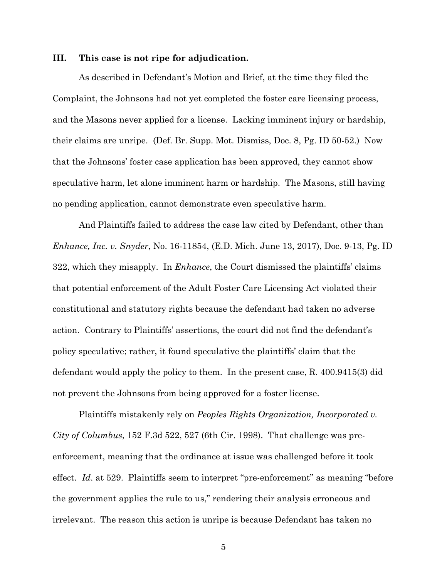#### **III. This case is not ripe for adjudication.**

As described in Defendant's Motion and Brief, at the time they filed the Complaint, the Johnsons had not yet completed the foster care licensing process, and the Masons never applied for a license. Lacking imminent injury or hardship, their claims are unripe. (Def. Br. Supp. Mot. Dismiss, Doc. 8, Pg. ID 50-52.) Now that the Johnsons' foster case application has been approved, they cannot show speculative harm, let alone imminent harm or hardship. The Masons, still having no pending application, cannot demonstrate even speculative harm.

And Plaintiffs failed to address the case law cited by Defendant, other than *Enhance, Inc. v. Snyder*, No. 16-11854, (E.D. Mich. June 13, 2017), Doc. 9-13, Pg. ID 322, which they misapply. In *Enhance*, the Court dismissed the plaintiffs' claims that potential enforcement of the Adult Foster Care Licensing Act violated their constitutional and statutory rights because the defendant had taken no adverse action. Contrary to Plaintiffs' assertions, the court did not find the defendant's policy speculative; rather, it found speculative the plaintiffs' claim that the defendant would apply the policy to them. In the present case, R. 400.9415(3) did not prevent the Johnsons from being approved for a foster license.

Plaintiffs mistakenly rely on *Peoples Rights Organization, Incorporated v. City of Columbus*, 152 F.3d 522, 527 (6th Cir. 1998). That challenge was preenforcement, meaning that the ordinance at issue was challenged before it took effect. *Id*. at 529. Plaintiffs seem to interpret "pre-enforcement" as meaning "before the government applies the rule to us," rendering their analysis erroneous and irrelevant. The reason this action is unripe is because Defendant has taken no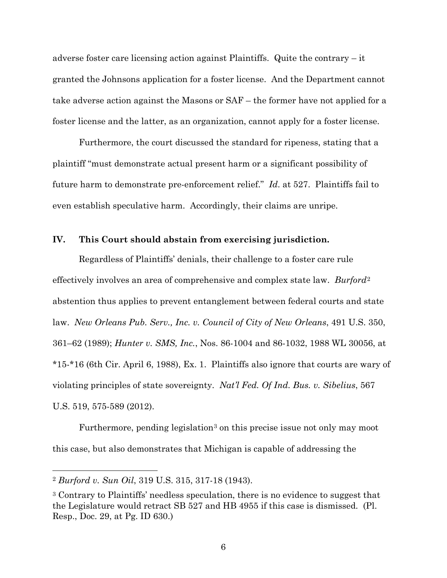adverse foster care licensing action against Plaintiffs. Quite the contrary – it granted the Johnsons application for a foster license. And the Department cannot take adverse action against the Masons or SAF – the former have not applied for a foster license and the latter, as an organization, cannot apply for a foster license.

Furthermore, the court discussed the standard for ripeness, stating that a plaintiff "must demonstrate actual present harm or a significant possibility of future harm to demonstrate pre-enforcement relief." *Id*. at 527. Plaintiffs fail to even establish speculative harm. Accordingly, their claims are unripe.

#### **IV. This Court should abstain from exercising jurisdiction.**

Regardless of Plaintiffs' denials, their challenge to a foster care rule effectively involves an area of comprehensive and complex state law. *Burford*<sup>2</sup> abstention thus applies to prevent entanglement between federal courts and state law. *New Orleans Pub. Serv., Inc. v. Council of City of New Orleans*, 491 U.S. 350, 361–62 (1989); *Hunter v. SMS, Inc.*, Nos. 86-1004 and 86-1032, 1988 WL 30056, at \*15-\*16 (6th Cir. April 6, 1988), Ex. 1. Plaintiffs also ignore that courts are wary of violating principles of state sovereignty. *Nat'l Fed. Of Ind. Bus. v. Sibelius*, 567 U.S. 519, 575-589 (2012).

Furthermore, pending legislation<sup>3</sup> on this precise issue not only may moot this case, but also demonstrates that Michigan is capable of addressing the

 $\overline{a}$ 

<sup>2</sup> *Burford v. Sun Oil*, 319 U.S. 315, 317-18 (1943).

<sup>3</sup> Contrary to Plaintiffs' needless speculation, there is no evidence to suggest that the Legislature would retract SB 527 and HB 4955 if this case is dismissed. (Pl. Resp., Doc. 29, at Pg. ID 630.)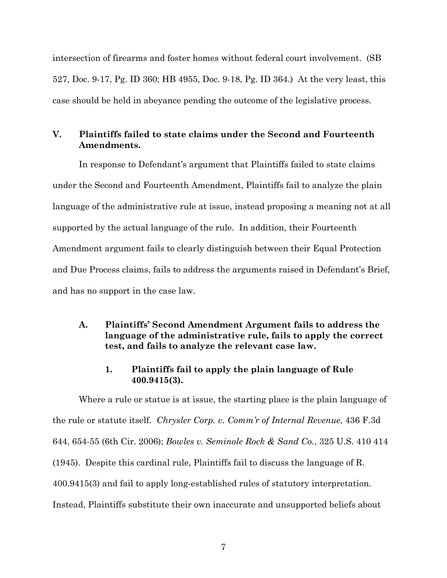intersection of firearms and foster homes without federal court involvement. (SB 527, Doc. 9-17, Pg. ID 360; HB 4955, Doc. 9-18, Pg. ID 364.) At the very least, this case should be held in abeyance pending the outcome of the legislative process.

# **V. Plaintiffs failed to state claims under the Second and Fourteenth Amendments.**

In response to Defendant's argument that Plaintiffs failed to state claims under the Second and Fourteenth Amendment, Plaintiffs fail to analyze the plain language of the administrative rule at issue, instead proposing a meaning not at all supported by the actual language of the rule. In addition, their Fourteenth Amendment argument fails to clearly distinguish between their Equal Protection and Due Process claims, fails to address the arguments raised in Defendant's Brief, and has no support in the case law.

### **A. Plaintiffs' Second Amendment Argument fails to address the language of the administrative rule, fails to apply the correct test, and fails to analyze the relevant case law.**

### **1. Plaintiffs fail to apply the plain language of Rule 400.9415(3).**

Where a rule or statue is at issue, the starting place is the plain language of the rule or statute itself. *Chrysler Corp. v. Comm'r of Internal Revenue*, 436 F.3d 644, 654-55 (6th Cir. 2006); *Bowles v. Seminole Rock & Sand Co.*, 325 U.S. 410 414 (1945). Despite this cardinal rule, Plaintiffs fail to discuss the language of R. 400.9415(3) and fail to apply long-established rules of statutory interpretation. Instead, Plaintiffs substitute their own inaccurate and unsupported beliefs about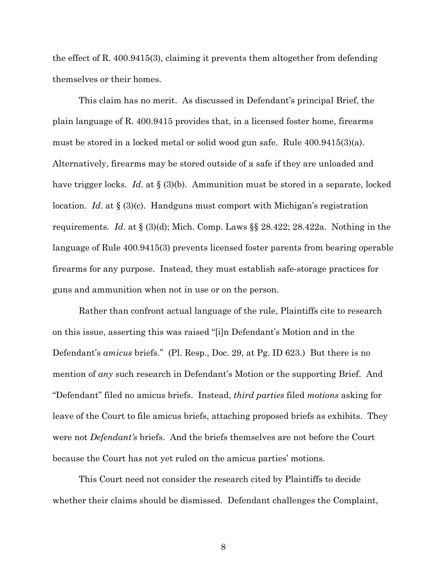the effect of R. 400.9415(3), claiming it prevents them altogether from defending themselves or their homes.

This claim has no merit. As discussed in Defendant's principal Brief, the plain language of R. 400.9415 provides that, in a licensed foster home, firearms must be stored in a locked metal or solid wood gun safe. Rule 400.9415(3)(a). Alternatively, firearms may be stored outside of a safe if they are unloaded and have trigger locks. *Id*. at § (3)(b). Ammunition must be stored in a separate, locked location. *Id*. at § (3)(c). Handguns must comport with Michigan's registration requirements. *Id*. at § (3)(d); Mich. Comp. Laws §§ 28.422; 28.422a. Nothing in the language of Rule 400.9415(3) prevents licensed foster parents from bearing operable firearms for any purpose. Instead, they must establish safe-storage practices for guns and ammunition when not in use or on the person.

Rather than confront actual language of the rule, Plaintiffs cite to research on this issue, asserting this was raised "[i]n Defendant's Motion and in the Defendant's *amicus* briefs." (Pl. Resp., Doc. 29, at Pg. ID 623.) But there is no mention of *any* such research in Defendant's Motion or the supporting Brief. And "Defendant" filed no amicus briefs. Instead, *third parties* filed *motions* asking for leave of the Court to file amicus briefs, attaching proposed briefs as exhibits. They were not *Defendant's* briefs. And the briefs themselves are not before the Court because the Court has not yet ruled on the amicus parties' motions.

This Court need not consider the research cited by Plaintiffs to decide whether their claims should be dismissed. Defendant challenges the Complaint,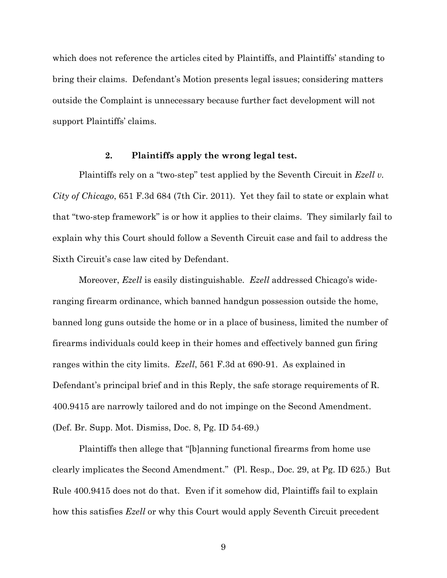which does not reference the articles cited by Plaintiffs, and Plaintiffs' standing to bring their claims. Defendant's Motion presents legal issues; considering matters outside the Complaint is unnecessary because further fact development will not support Plaintiffs' claims.

#### **2. Plaintiffs apply the wrong legal test.**

Plaintiffs rely on a "two-step" test applied by the Seventh Circuit in *Ezell v. City of Chicago*, 651 F.3d 684 (7th Cir. 2011). Yet they fail to state or explain what that "two-step framework" is or how it applies to their claims. They similarly fail to explain why this Court should follow a Seventh Circuit case and fail to address the Sixth Circuit's case law cited by Defendant.

Moreover, *Ezell* is easily distinguishable. *Ezell* addressed Chicago's wideranging firearm ordinance, which banned handgun possession outside the home, banned long guns outside the home or in a place of business, limited the number of firearms individuals could keep in their homes and effectively banned gun firing ranges within the city limits. *Ezell*, 561 F.3d at 690-91. As explained in Defendant's principal brief and in this Reply, the safe storage requirements of R. 400.9415 are narrowly tailored and do not impinge on the Second Amendment. (Def. Br. Supp. Mot. Dismiss, Doc. 8, Pg. ID 54-69.)

Plaintiffs then allege that "[b]anning functional firearms from home use clearly implicates the Second Amendment." (Pl. Resp., Doc. 29, at Pg. ID 625.) But Rule 400.9415 does not do that. Even if it somehow did, Plaintiffs fail to explain how this satisfies *Ezell* or why this Court would apply Seventh Circuit precedent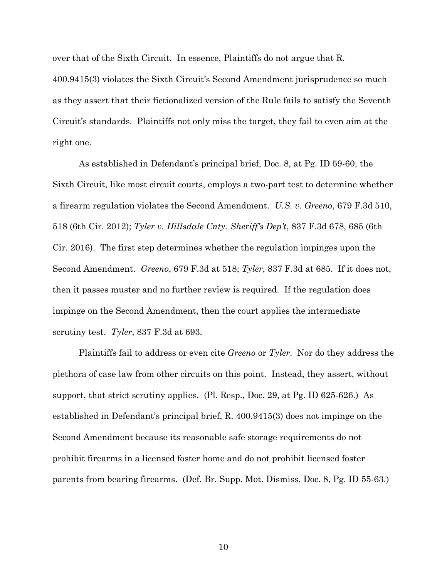over that of the Sixth Circuit. In essence, Plaintiffs do not argue that R. 400.9415(3) violates the Sixth Circuit's Second Amendment jurisprudence so much as they assert that their fictionalized version of the Rule fails to satisfy the Seventh Circuit's standards. Plaintiffs not only miss the target, they fail to even aim at the right one.

As established in Defendant's principal brief, Doc. 8, at Pg. ID 59-60, the Sixth Circuit, like most circuit courts, employs a two-part test to determine whether a firearm regulation violates the Second Amendment. *U.S. v. Greeno*, 679 F.3d 510, 518 (6th Cir. 2012); *Tyler v. Hillsdale Cnty. Sheriff's Dep't*, 837 F.3d 678, 685 (6th Cir. 2016). The first step determines whether the regulation impinges upon the Second Amendment. *Greeno*, 679 F.3d at 518; *Tyler*, 837 F.3d at 685. If it does not, then it passes muster and no further review is required. If the regulation does impinge on the Second Amendment, then the court applies the intermediate scrutiny test. *Tyler*, 837 F.3d at 693.

Plaintiffs fail to address or even cite *Greeno* or *Tyler*. Nor do they address the plethora of case law from other circuits on this point. Instead, they assert, without support, that strict scrutiny applies. (Pl. Resp., Doc. 29, at Pg. ID 625-626.) As established in Defendant's principal brief, R. 400.9415(3) does not impinge on the Second Amendment because its reasonable safe storage requirements do not prohibit firearms in a licensed foster home and do not prohibit licensed foster parents from bearing firearms. (Def. Br. Supp. Mot. Dismiss, Doc. 8, Pg. ID 55-63.)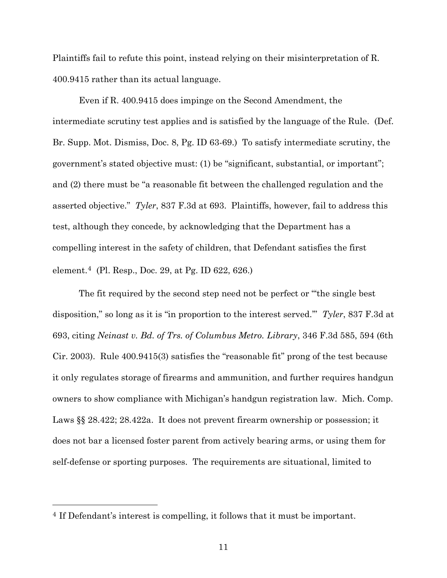Plaintiffs fail to refute this point, instead relying on their misinterpretation of R. 400.9415 rather than its actual language.

Even if R. 400.9415 does impinge on the Second Amendment, the intermediate scrutiny test applies and is satisfied by the language of the Rule. (Def. Br. Supp. Mot. Dismiss, Doc. 8, Pg. ID 63-69.) To satisfy intermediate scrutiny, the government's stated objective must: (1) be "significant, substantial, or important"; and (2) there must be "a reasonable fit between the challenged regulation and the asserted objective." *Tyler*, 837 F.3d at 693. Plaintiffs, however, fail to address this test, although they concede, by acknowledging that the Department has a compelling interest in the safety of children, that Defendant satisfies the first element.4 (Pl. Resp., Doc. 29, at Pg. ID 622, 626.)

The fit required by the second step need not be perfect or "'the single best disposition," so long as it is "in proportion to the interest served.'" *Tyler*, 837 F.3d at 693, citing *Neinast v. Bd. of Trs. of Columbus Metro. Library*, 346 F.3d 585, 594 (6th Cir. 2003). Rule 400.9415(3) satisfies the "reasonable fit" prong of the test because it only regulates storage of firearms and ammunition, and further requires handgun owners to show compliance with Michigan's handgun registration law. Mich. Comp. Laws §§ 28.422; 28.422a. It does not prevent firearm ownership or possession; it does not bar a licensed foster parent from actively bearing arms, or using them for self-defense or sporting purposes. The requirements are situational, limited to

 $\overline{a}$ 

<sup>4</sup> If Defendant's interest is compelling, it follows that it must be important.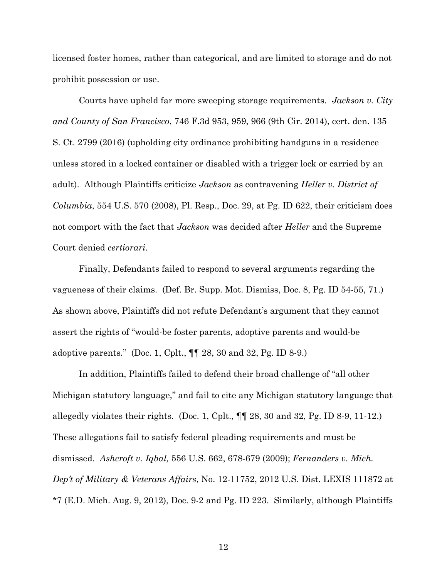licensed foster homes, rather than categorical, and are limited to storage and do not prohibit possession or use.

Courts have upheld far more sweeping storage requirements. *Jackson v. City and County of San Francisco*, 746 F.3d 953, 959, 966 (9th Cir. 2014), cert. den. 135 S. Ct. 2799 (2016) (upholding city ordinance prohibiting handguns in a residence unless stored in a locked container or disabled with a trigger lock or carried by an adult). Although Plaintiffs criticize *Jackson* as contravening *Heller v. District of Columbia*, 554 U.S. 570 (2008), Pl. Resp., Doc. 29, at Pg. ID 622, their criticism does not comport with the fact that *Jackson* was decided after *Heller* and the Supreme Court denied *certiorari*.

Finally, Defendants failed to respond to several arguments regarding the vagueness of their claims. (Def. Br. Supp. Mot. Dismiss, Doc. 8, Pg. ID 54-55, 71.) As shown above, Plaintiffs did not refute Defendant's argument that they cannot assert the rights of "would-be foster parents, adoptive parents and would-be adoptive parents." (Doc. 1, Cplt.,  $\P$   $\otimes$  28, 30 and 32, Pg. ID 8-9.)

In addition, Plaintiffs failed to defend their broad challenge of "all other Michigan statutory language," and fail to cite any Michigan statutory language that allegedly violates their rights. (Doc. 1, Cplt., ¶¶ 28, 30 and 32, Pg. ID 8-9, 11-12.) These allegations fail to satisfy federal pleading requirements and must be dismissed. *Ashcroft v. Iqbal,* 556 U.S. 662, 678-679 (2009); *Fernanders v. Mich. Dep't of Military & Veterans Affairs*, No. 12-11752, 2012 U.S. Dist. LEXIS 111872 at \*7 (E.D. Mich. Aug. 9, 2012), Doc. 9-2 and Pg. ID 223. Similarly, although Plaintiffs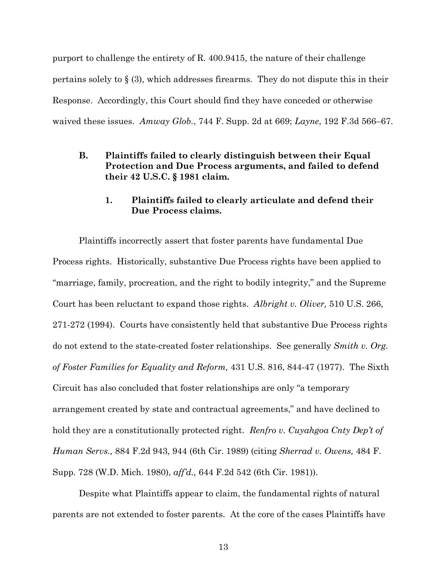purport to challenge the entirety of R. 400.9415, the nature of their challenge pertains solely to  $\S$  (3), which addresses firearms. They do not dispute this in their Response. Accordingly, this Court should find they have conceded or otherwise waived these issues. *Amway Glob.*, 744 F. Supp. 2d at 669; *Layne*, 192 F.3d 566–67.

**B. Plaintiffs failed to clearly distinguish between their Equal Protection and Due Process arguments, and failed to defend their 42 U.S.C. § 1981 claim.**

### **1. Plaintiffs failed to clearly articulate and defend their Due Process claims.**

Plaintiffs incorrectly assert that foster parents have fundamental Due Process rights. Historically, substantive Due Process rights have been applied to "marriage, family, procreation, and the right to bodily integrity," and the Supreme Court has been reluctant to expand those rights. *Albright v. Oliver,* 510 U.S. 266, 271-272 (1994). Courts have consistently held that substantive Due Process rights do not extend to the state-created foster relationships. See generally *Smith v. Org. of Foster Families for Equality and Reform,* 431 U.S. 816, 844-47 (1977). The Sixth Circuit has also concluded that foster relationships are only "a temporary arrangement created by state and contractual agreements," and have declined to hold they are a constitutionally protected right. *Renfro v. Cuyahgoa Cnty Dep't of Human Servs.,* 884 F.2d 943, 944 (6th Cir. 1989) (citing *Sherrad v. Owens,* 484 F. Supp. 728 (W.D. Mich. 1980), *aff'd.,* 644 F.2d 542 (6th Cir. 1981)).

Despite what Plaintiffs appear to claim, the fundamental rights of natural parents are not extended to foster parents. At the core of the cases Plaintiffs have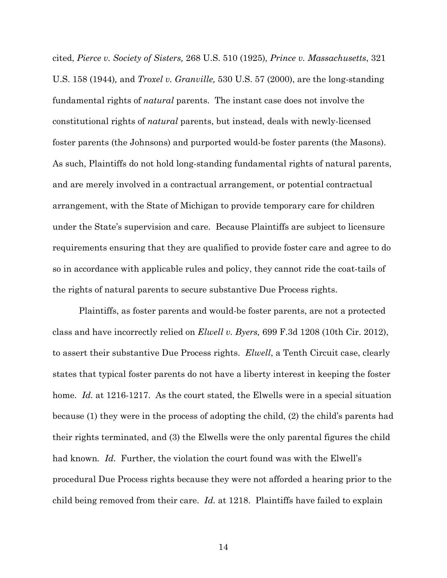cited, *Pierce v. Society of Sisters,* 268 U.S. 510 (1925)*, Prince v. Massachusetts*, 321 U.S. 158 (1944)*,* and *Troxel v. Granville,* 530 U.S. 57 (2000), are the long-standing fundamental rights of *natural* parents. The instant case does not involve the constitutional rights of *natural* parents, but instead, deals with newly-licensed foster parents (the Johnsons) and purported would-be foster parents (the Masons). As such, Plaintiffs do not hold long-standing fundamental rights of natural parents, and are merely involved in a contractual arrangement, or potential contractual arrangement, with the State of Michigan to provide temporary care for children under the State's supervision and care. Because Plaintiffs are subject to licensure requirements ensuring that they are qualified to provide foster care and agree to do so in accordance with applicable rules and policy, they cannot ride the coat-tails of the rights of natural parents to secure substantive Due Process rights.

Plaintiffs, as foster parents and would-be foster parents, are not a protected class and have incorrectly relied on *Elwell v. Byers,* 699 F.3d 1208 (10th Cir. 2012), to assert their substantive Due Process rights. *Elwell*, a Tenth Circuit case, clearly states that typical foster parents do not have a liberty interest in keeping the foster home. *Id.* at 1216-1217. As the court stated, the Elwells were in a special situation because (1) they were in the process of adopting the child, (2) the child's parents had their rights terminated, and (3) the Elwells were the only parental figures the child had known*. Id.* Further, the violation the court found was with the Elwell's procedural Due Process rights because they were not afforded a hearing prior to the child being removed from their care. *Id.* at 1218. Plaintiffs have failed to explain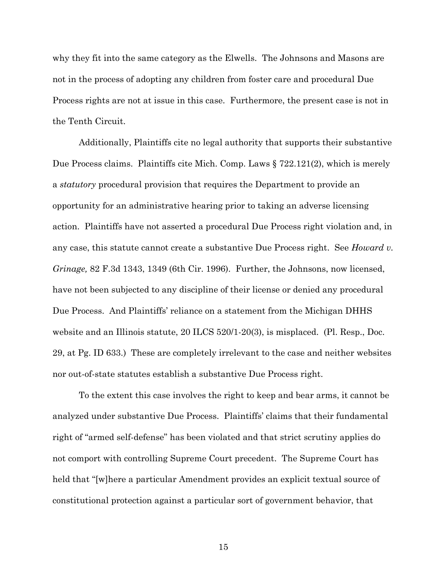why they fit into the same category as the Elwells. The Johnsons and Masons are not in the process of adopting any children from foster care and procedural Due Process rights are not at issue in this case. Furthermore, the present case is not in the Tenth Circuit.

Additionally, Plaintiffs cite no legal authority that supports their substantive Due Process claims. Plaintiffs cite Mich. Comp. Laws § 722.121(2), which is merely a *statutory* procedural provision that requires the Department to provide an opportunity for an administrative hearing prior to taking an adverse licensing action. Plaintiffs have not asserted a procedural Due Process right violation and, in any case, this statute cannot create a substantive Due Process right. See *Howard v. Grinage,* 82 F.3d 1343, 1349 (6th Cir. 1996). Further, the Johnsons, now licensed, have not been subjected to any discipline of their license or denied any procedural Due Process. And Plaintiffs' reliance on a statement from the Michigan DHHS website and an Illinois statute, 20 ILCS 520/1-20(3), is misplaced. (Pl. Resp., Doc. 29, at Pg. ID 633.) These are completely irrelevant to the case and neither websites nor out-of-state statutes establish a substantive Due Process right.

To the extent this case involves the right to keep and bear arms, it cannot be analyzed under substantive Due Process. Plaintiffs' claims that their fundamental right of "armed self-defense" has been violated and that strict scrutiny applies do not comport with controlling Supreme Court precedent. The Supreme Court has held that "[w]here a particular Amendment provides an explicit textual source of constitutional protection against a particular sort of government behavior, that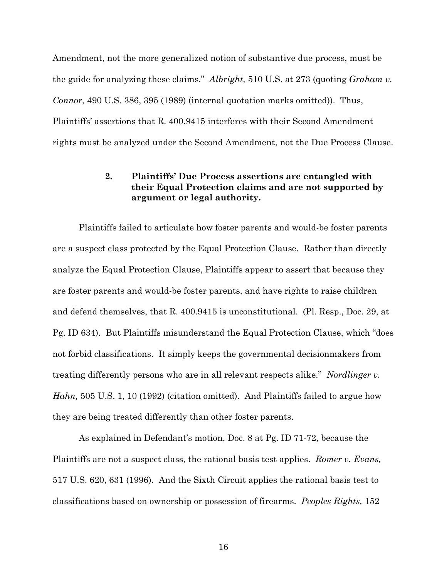Amendment, not the more generalized notion of substantive due process, must be the guide for analyzing these claims." *Albright,* 510 U.S. at 273 (quoting *Graham v. Connor*, 490 U.S. 386, 395 (1989) (internal quotation marks omitted)). Thus, Plaintiffs' assertions that R. 400.9415 interferes with their Second Amendment rights must be analyzed under the Second Amendment, not the Due Process Clause.

# **2. Plaintiffs' Due Process assertions are entangled with their Equal Protection claims and are not supported by argument or legal authority.**

Plaintiffs failed to articulate how foster parents and would-be foster parents are a suspect class protected by the Equal Protection Clause. Rather than directly analyze the Equal Protection Clause, Plaintiffs appear to assert that because they are foster parents and would-be foster parents, and have rights to raise children and defend themselves, that R. 400.9415 is unconstitutional. (Pl. Resp., Doc. 29, at Pg. ID 634). But Plaintiffs misunderstand the Equal Protection Clause, which "does not forbid classifications. It simply keeps the governmental decisionmakers from treating differently persons who are in all relevant respects alike." *Nordlinger v. Hahn,* 505 U.S. 1, 10 (1992) (citation omitted). And Plaintiffs failed to argue how they are being treated differently than other foster parents.

As explained in Defendant's motion, Doc. 8 at Pg. ID 71-72, because the Plaintiffs are not a suspect class, the rational basis test applies. *Romer v. Evans,* 517 U.S. 620, 631 (1996). And the Sixth Circuit applies the rational basis test to classifications based on ownership or possession of firearms. *Peoples Rights,* 152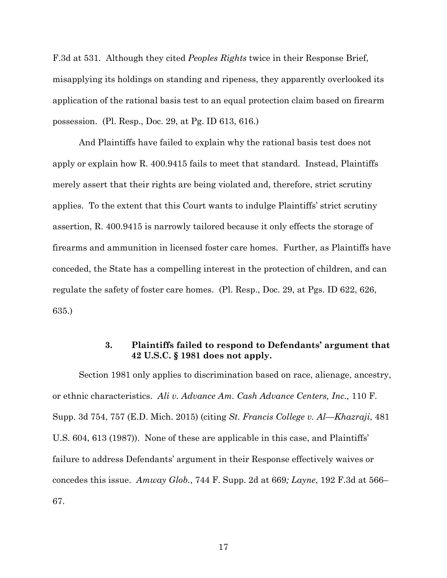F.3d at 531. Although they cited *Peoples Rights* twice in their Response Brief, misapplying its holdings on standing and ripeness, they apparently overlooked its application of the rational basis test to an equal protection claim based on firearm possession. (Pl. Resp., Doc. 29, at Pg. ID 613, 616.)

And Plaintiffs have failed to explain why the rational basis test does not apply or explain how R. 400.9415 fails to meet that standard. Instead, Plaintiffs merely assert that their rights are being violated and, therefore, strict scrutiny applies. To the extent that this Court wants to indulge Plaintiffs' strict scrutiny assertion, R. 400.9415 is narrowly tailored because it only effects the storage of firearms and ammunition in licensed foster care homes. Further, as Plaintiffs have conceded, the State has a compelling interest in the protection of children, and can regulate the safety of foster care homes. (Pl. Resp., Doc. 29, at Pgs. ID 622, 626, 635.)

### **3. Plaintiffs failed to respond to Defendants' argument that 42 U.S.C. § 1981 does not apply.**

Section 1981 only applies to discrimination based on race, alienage, ancestry, or ethnic characteristics. *Ali v. Advance Am. Cash Advance Centers, Inc.,* 110 F. Supp. 3d 754, 757 (E.D. Mich. 2015) (citing *St. Francis College v. Al—Khazraji*, 481 U.S. 604, 613 (1987)). None of these are applicable in this case, and Plaintiffs' failure to address Defendants' argument in their Response effectively waives or concedes this issue. *Amway Glob.*, 744 F. Supp. 2d at 669*; Layne*, 192 F.3d at 566– 67.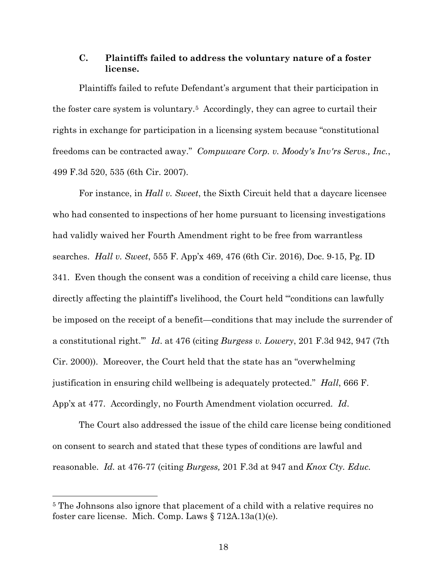### **C. Plaintiffs failed to address the voluntary nature of a foster license.**

Plaintiffs failed to refute Defendant's argument that their participation in the foster care system is voluntary.5 Accordingly, they can agree to curtail their rights in exchange for participation in a licensing system because "constitutional freedoms can be contracted away." *Compuware Corp. v. Moody's Inv'rs Servs., Inc.*, 499 F.3d 520, 535 (6th Cir. 2007).

For instance, in *Hall v. Sweet*, the Sixth Circuit held that a daycare licensee who had consented to inspections of her home pursuant to licensing investigations had validly waived her Fourth Amendment right to be free from warrantless searches. *Hall v. Sweet*, 555 F. App'x 469, 476 (6th Cir. 2016), Doc. 9-15, Pg. ID 341. Even though the consent was a condition of receiving a child care license, thus directly affecting the plaintiff's livelihood, the Court held "'conditions can lawfully be imposed on the receipt of a benefit—conditions that may include the surrender of a constitutional right.'" *Id*. at 476 (citing *Burgess v. Lowery*, 201 F.3d 942, 947 (7th Cir. 2000)). Moreover, the Court held that the state has an "overwhelming justification in ensuring child wellbeing is adequately protected." *Hall*, 666 F. App'x at 477. Accordingly, no Fourth Amendment violation occurred. *Id*.

The Court also addressed the issue of the child care license being conditioned on consent to search and stated that these types of conditions are lawful and reasonable. *Id.* at 476-77 (citing *Burgess,* 201 F.3d at 947 and *Knox Cty. Educ.* 

 $\overline{a}$ 

<sup>5</sup> The Johnsons also ignore that placement of a child with a relative requires no foster care license. Mich. Comp. Laws § 712A.13a(1)(e).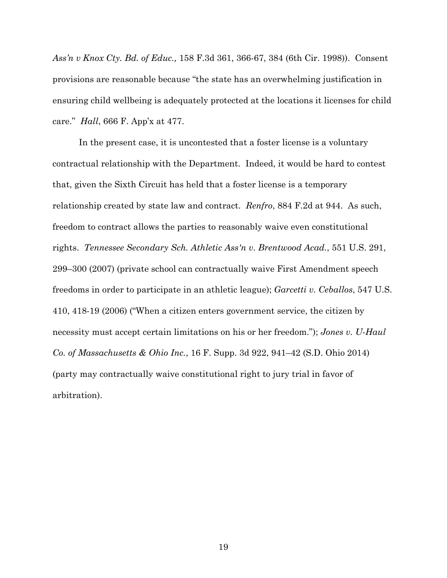*Ass'n v Knox Cty. Bd. of Educ.,* 158 F.3d 361, 366-67, 384 (6th Cir. 1998)). Consent provisions are reasonable because "the state has an overwhelming justification in ensuring child wellbeing is adequately protected at the locations it licenses for child care." *Hall*, 666 F. App'x at 477.

In the present case, it is uncontested that a foster license is a voluntary contractual relationship with the Department. Indeed, it would be hard to contest that, given the Sixth Circuit has held that a foster license is a temporary relationship created by state law and contract. *Renfro*, 884 F.2d at 944. As such, freedom to contract allows the parties to reasonably waive even constitutional rights. *Tennessee Secondary Sch. Athletic Ass'n v. Brentwood Acad.*, 551 U.S. 291, 299–300 (2007) (private school can contractually waive First Amendment speech freedoms in order to participate in an athletic league); *Garcetti v. Ceballos*, 547 U.S. 410, 418-19 (2006) ("When a citizen enters government service, the citizen by necessity must accept certain limitations on his or her freedom."); *Jones v. U-Haul Co. of Massachusetts & Ohio Inc.*, 16 F. Supp. 3d 922, 941–42 (S.D. Ohio 2014) (party may contractually waive constitutional right to jury trial in favor of arbitration).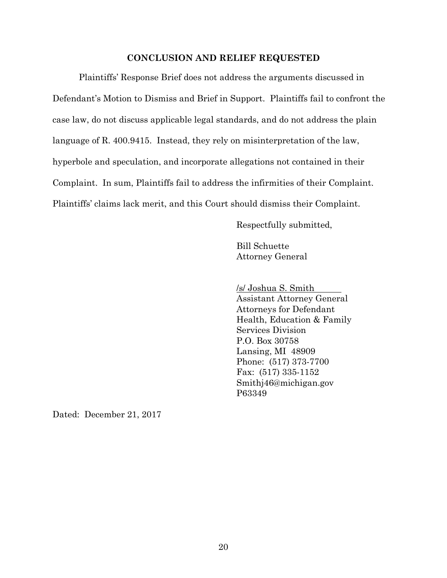#### **CONCLUSION AND RELIEF REQUESTED**

Plaintiffs' Response Brief does not address the arguments discussed in Defendant's Motion to Dismiss and Brief in Support. Plaintiffs fail to confront the case law, do not discuss applicable legal standards, and do not address the plain language of R. 400.9415. Instead, they rely on misinterpretation of the law, hyperbole and speculation, and incorporate allegations not contained in their Complaint. In sum, Plaintiffs fail to address the infirmities of their Complaint. Plaintiffs' claims lack merit, and this Court should dismiss their Complaint.

Respectfully submitted,

Bill Schuette Attorney General

/s/ Joshua S. Smith

Assistant Attorney General Attorneys for Defendant Health, Education & Family Services Division P.O. Box 30758 Lansing, MI 48909 Phone: (517) 373-7700 Fax: (517) 335-1152 Smithj46@michigan.gov P63349

Dated: December 21, 2017